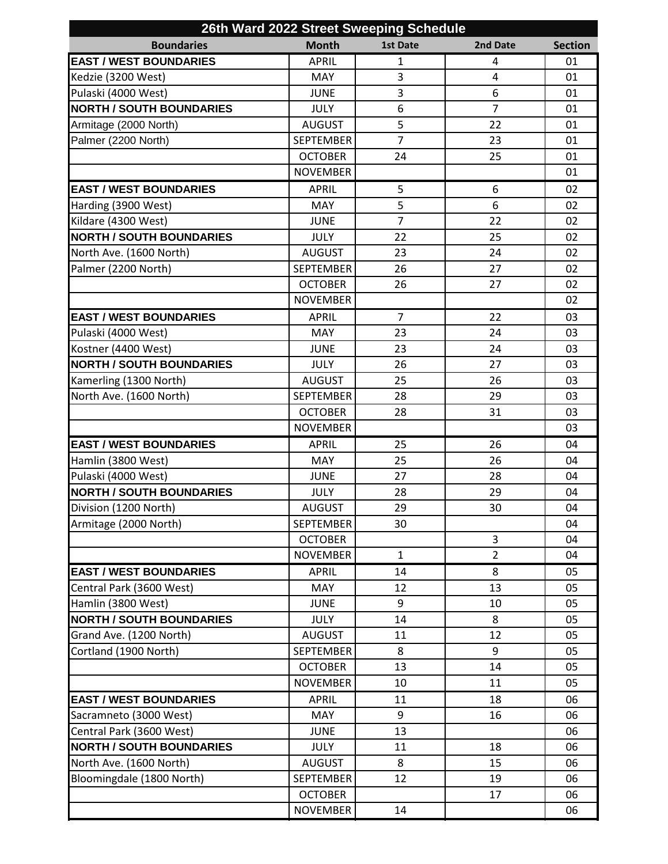| 26th Ward 2022 Street Sweeping Schedule |                  |                 |                |                |  |  |  |
|-----------------------------------------|------------------|-----------------|----------------|----------------|--|--|--|
| <b>Boundaries</b>                       | <b>Month</b>     | <b>1st Date</b> | 2nd Date       | <b>Section</b> |  |  |  |
| <b>EAST / WEST BOUNDARIES</b>           | <b>APRIL</b>     | $\mathbf 1$     | 4              | 01             |  |  |  |
| Kedzie (3200 West)                      | <b>MAY</b>       | 3               | $\overline{4}$ | 01             |  |  |  |
| Pulaski (4000 West)                     | <b>JUNE</b>      | 3               | 6              | 01             |  |  |  |
| <b>NORTH / SOUTH BOUNDARIES</b>         | <b>JULY</b>      | 6               | $\overline{7}$ | 01             |  |  |  |
| Armitage (2000 North)                   | <b>AUGUST</b>    | 5               | 22             | 01             |  |  |  |
| Palmer (2200 North)                     | <b>SEPTEMBER</b> | $\overline{7}$  | 23             | 01             |  |  |  |
|                                         | <b>OCTOBER</b>   | 24              | 25             | 01             |  |  |  |
|                                         | <b>NOVEMBER</b>  |                 |                | 01             |  |  |  |
| <b>EAST / WEST BOUNDARIES</b>           | <b>APRIL</b>     | 5               | 6              | 02             |  |  |  |
| Harding (3900 West)                     | MAY              | 5               | 6              | 02             |  |  |  |
| Kildare (4300 West)                     | <b>JUNE</b>      | $\overline{7}$  | 22             | 02             |  |  |  |
| <b>NORTH / SOUTH BOUNDARIES</b>         | <b>JULY</b>      | 22              | 25             | 02             |  |  |  |
| North Ave. (1600 North)                 | <b>AUGUST</b>    | 23              | 24             | 02             |  |  |  |
| Palmer (2200 North)                     | <b>SEPTEMBER</b> | 26              | 27             | 02             |  |  |  |
|                                         | <b>OCTOBER</b>   | 26              | 27             | 02             |  |  |  |
|                                         | <b>NOVEMBER</b>  |                 |                | 02             |  |  |  |
| <b>EAST / WEST BOUNDARIES</b>           | <b>APRIL</b>     | 7               | 22             | 03             |  |  |  |
| Pulaski (4000 West)                     | <b>MAY</b>       | 23              | 24             | 03             |  |  |  |
| Kostner (4400 West)                     | <b>JUNE</b>      | 23              | 24             | 03             |  |  |  |
| <b>NORTH / SOUTH BOUNDARIES</b>         | <b>JULY</b>      | 26              | 27             | 03             |  |  |  |
| Kamerling (1300 North)                  | <b>AUGUST</b>    | 25              | 26             | 03             |  |  |  |
| North Ave. (1600 North)                 | <b>SEPTEMBER</b> | 28              | 29             | 03             |  |  |  |
|                                         | <b>OCTOBER</b>   | 28              | 31             | 03             |  |  |  |
|                                         | <b>NOVEMBER</b>  |                 |                | 03             |  |  |  |
| <b>EAST / WEST BOUNDARIES</b>           | <b>APRIL</b>     | 25              | 26             | 04             |  |  |  |
| Hamlin (3800 West)                      | MAY              | 25              | 26             | 04             |  |  |  |
| Pulaski (4000 West)                     | <b>JUNE</b>      | 27              | 28             | 04             |  |  |  |
| <b>NORTH / SOUTH BOUNDARIES</b>         | <b>JULY</b>      | 28              | 29             | 04             |  |  |  |
| Division (1200 North)                   | <b>AUGUST</b>    | 29              | 30             | 04             |  |  |  |
| Armitage (2000 North)                   | <b>SEPTEMBER</b> | 30              |                | 04             |  |  |  |
|                                         | <b>OCTOBER</b>   |                 | 3              | 04             |  |  |  |
|                                         | <b>NOVEMBER</b>  | $\mathbf{1}$    | $\overline{2}$ | 04             |  |  |  |
| <b>EAST / WEST BOUNDARIES</b>           | <b>APRIL</b>     | 14              | 8              | 05             |  |  |  |
| Central Park (3600 West)                | MAY              | 12              | 13             | 05             |  |  |  |
| Hamlin (3800 West)                      | <b>JUNE</b>      | 9               | 10             | 05             |  |  |  |
| <b>NORTH / SOUTH BOUNDARIES</b>         | <b>JULY</b>      | 14              | 8              | 05             |  |  |  |
| Grand Ave. (1200 North)                 | <b>AUGUST</b>    | 11              | 12             | 05             |  |  |  |
| Cortland (1900 North)                   | <b>SEPTEMBER</b> | 8               | 9              | 05             |  |  |  |
|                                         | <b>OCTOBER</b>   | 13              | 14             | 05             |  |  |  |
|                                         | <b>NOVEMBER</b>  | 10              | 11             | 05             |  |  |  |
| <b>EAST / WEST BOUNDARIES</b>           | <b>APRIL</b>     | 11              | 18             | 06             |  |  |  |
| Sacramneto (3000 West)                  | <b>MAY</b>       | 9               | 16             | 06             |  |  |  |
| Central Park (3600 West)                | <b>JUNE</b>      | 13              |                | 06             |  |  |  |
| <b>NORTH / SOUTH BOUNDARIES</b>         | <b>JULY</b>      | 11              | 18             | 06             |  |  |  |
| North Ave. (1600 North)                 | <b>AUGUST</b>    | 8               | 15             | 06             |  |  |  |
| Bloomingdale (1800 North)               | <b>SEPTEMBER</b> | 12              | 19             | 06             |  |  |  |
|                                         | <b>OCTOBER</b>   |                 | 17             | 06             |  |  |  |
|                                         | <b>NOVEMBER</b>  | 14              |                | 06             |  |  |  |